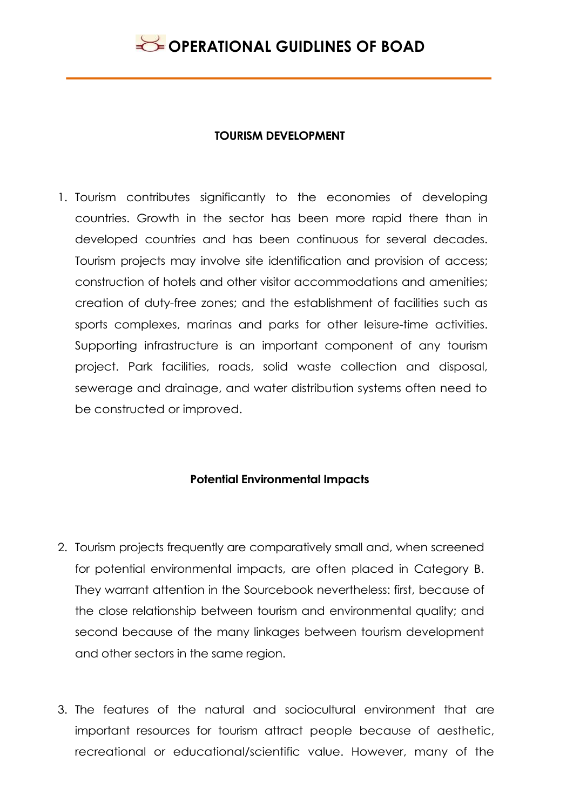

#### **TOURISM DEVELOPMENT**

1. Tourism contributes significantly to the economies of developing countries. Growth in the sector has been more rapid there than in developed countries and has been continuous for several decades. Tourism projects may involve site identification and provision of access; construction of hotels and other visitor accommodations and amenities; creation of duty-free zones; and the establishment of facilities such as sports complexes, marinas and parks for other leisure-time activities. Supporting infrastructure is an important component of any tourism project. Park facilities, roads, solid waste collection and disposal, sewerage and drainage, and water distribution systems often need to be constructed or improved.

#### **Potential Environmental Impacts**

- 2. Tourism projects frequently are comparatively small and, when screened for potential environmental impacts, are often placed in Category B. They warrant attention in the Sourcebook nevertheless: first, because of the close relationship between tourism and environmental quality; and second because of the many linkages between tourism development and other sectors in the same region.
- 3. The features of the natural and sociocultural environment that are important resources for tourism attract people because of aesthetic, recreational or educational/scientific value. However, many of the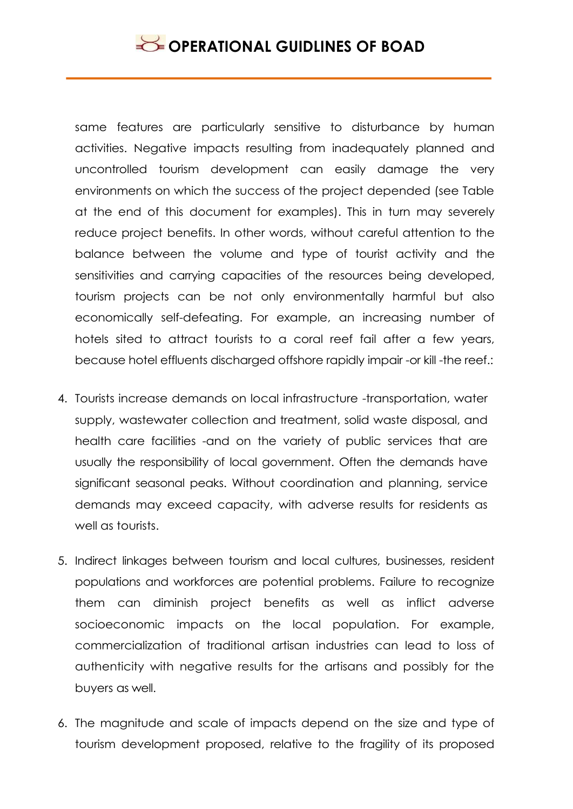same features are particularly sensitive to disturbance by human activities. Negative impacts resulting from inadequately planned and uncontrolled tourism development can easily damage the very environments on which the success of the project depended (see Table at the end of this document for examples). This in turn may severely reduce project benefits. In other words, without careful attention to the balance between the volume and type of tourist activity and the sensitivities and carrying capacities of the resources being developed, tourism projects can be not only environmentally harmful but also economically self-defeating. For example, an increasing number of hotels sited to attract tourists to a coral reef fail after a few years, because hotel effluents discharged offshore rapidly impair -or kill -the reef.:

- 4. Tourists increase demands on local infrastructure -transportation, water supply, wastewater collection and treatment, solid waste disposal, and health care facilities -and on the variety of public services that are usually the responsibility of local government. Often the demands have significant seasonal peaks. Without coordination and planning, service demands may exceed capacity, with adverse results for residents as well as tourists.
- 5. Indirect linkages between tourism and local cultures, businesses, resident populations and workforces are potential problems. Failure to recognize them can diminish project benefits as well as inflict adverse socioeconomic impacts on the local population. For example, commercialization of traditional artisan industries can lead to loss of authenticity with negative results for the artisans and possibly for the buyers as well.
- 6. The magnitude and scale of impacts depend on the size and type of tourism development proposed, relative to the fragility of its proposed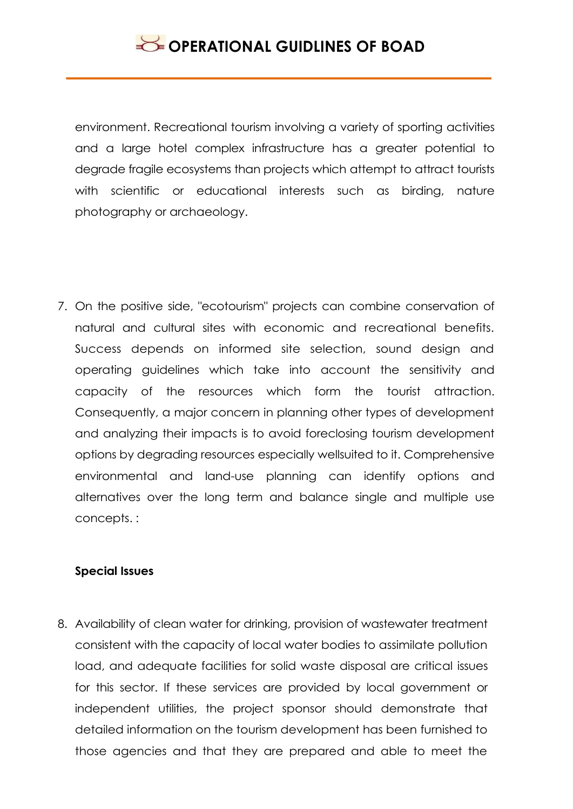environment. Recreational tourism involving a variety of sporting activities and a large hotel complex infrastructure has a greater potential to degrade fragile ecosystems than projects which attempt to attract tourists with scientific or educational interests such as birding, nature photography or archaeology.

7. On the positive side, "ecotourism" projects can combine conservation of natural and cultural sites with economic and recreational benefits. Success depends on informed site selection, sound design and operating guidelines which take into account the sensitivity and capacity of the resources which form the tourist attraction. Consequently, a major concern in planning other types of development and analyzing their impacts is to avoid foreclosing tourism development options by degrading resources especially wellsuited to it. Comprehensive environmental and land-use planning can identify options and alternatives over the long term and balance single and multiple use concepts. :

### **Special Issues**

8. Availability of clean water for drinking, provision of wastewater treatment consistent with the capacity of local water bodies to assimilate pollution load, and adequate facilities for solid waste disposal are critical issues for this sector. If these services are provided by local government or independent utilities, the project sponsor should demonstrate that detailed information on the tourism development has been furnished to those agencies and that they are prepared and able to meet the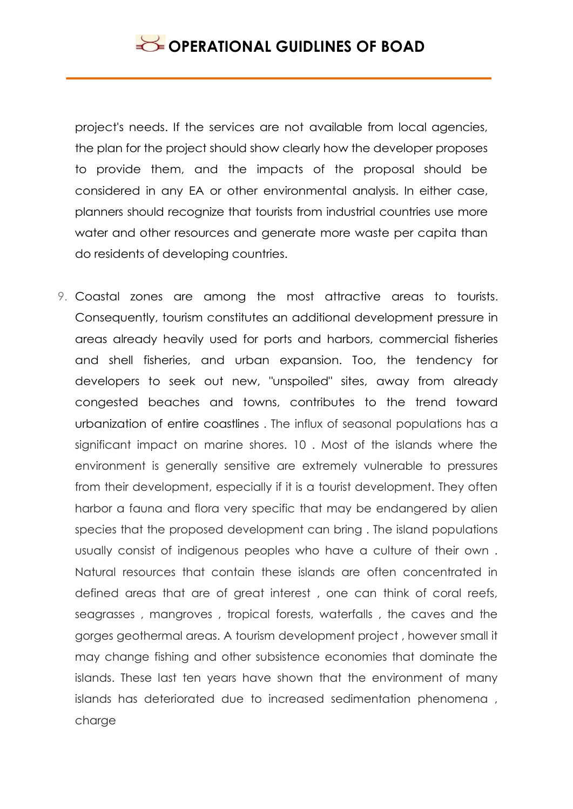project's needs. If the services are not available from local agencies, the plan for the project should show clearly how the developer proposes to provide them, and the impacts of the proposal should be considered in any EA or other environmental analysis. In either case, planners should recognize that tourists from industrial countries use more water and other resources and generate more waste per capita than do residents of developing countries.

9. Coastal zones are among the most attractive areas to tourists. Consequently, tourism constitutes an additional development pressure in areas already heavily used for ports and harbors, commercial fisheries and shell fisheries, and urban expansion. Too, the tendency for developers to seek out new, "unspoiled" sites, away from already congested beaches and towns, contributes to the trend toward urbanization of entire coastlines . The influx of seasonal populations has a significant impact on marine shores. 10 . Most of the islands where the environment is generally sensitive are extremely vulnerable to pressures from their development, especially if it is a tourist development. They often harbor a fauna and flora very specific that may be endangered by alien species that the proposed development can bring . The island populations usually consist of indigenous peoples who have a culture of their own . Natural resources that contain these islands are often concentrated in defined areas that are of great interest , one can think of coral reefs, seagrasses , mangroves , tropical forests, waterfalls , the caves and the gorges geothermal areas. A tourism development project , however small it may change fishing and other subsistence economies that dominate the islands. These last ten years have shown that the environment of many islands has deteriorated due to increased sedimentation phenomena , charge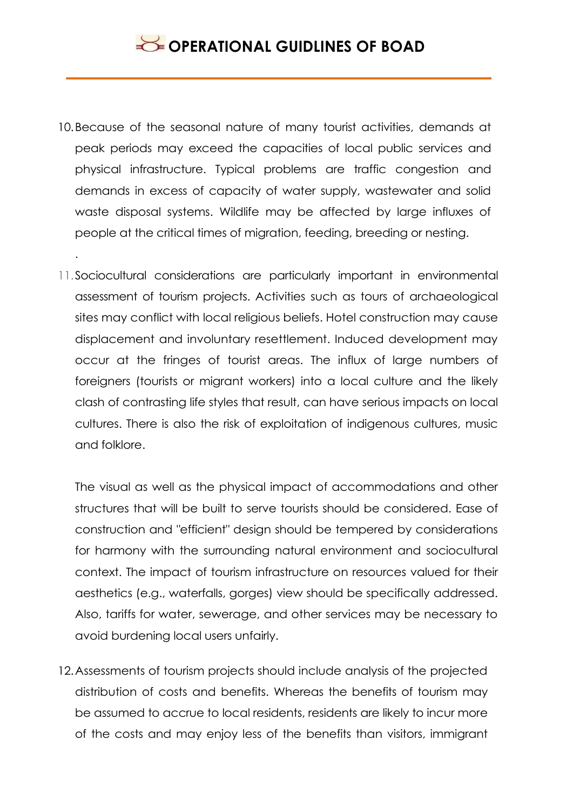## **SECTIONAL GUIDLINES OF BOAD**

10.Because of the seasonal nature of many tourist activities, demands at peak periods may exceed the capacities of local public services and physical infrastructure. Typical problems are traffic congestion and demands in excess of capacity of water supply, wastewater and solid waste disposal systems. Wildlife may be affected by large influxes of people at the critical times of migration, feeding, breeding or nesting.

.

11.Sociocultural considerations are particularly important in environmental assessment of tourism projects. Activities such as tours of archaeological sites may conflict with local religious beliefs. Hotel construction may cause displacement and involuntary resettlement. Induced development may occur at the fringes of tourist areas. The influx of large numbers of foreigners (tourists or migrant workers) into a local culture and the likely clash of contrasting life styles that result, can have serious impacts on local cultures. There is also the risk of exploitation of indigenous cultures, music and folklore.

The visual as well as the physical impact of accommodations and other structures that will be built to serve tourists should be considered. Ease of construction and "efficient" design should be tempered by considerations for harmony with the surrounding natural environment and sociocultural context. The impact of tourism infrastructure on resources valued for their aesthetics (e.g., waterfalls, gorges) view should be specifically addressed. Also, tariffs for water, sewerage, and other services may be necessary to avoid burdening local users unfairly.

12.Assessments of tourism projects should include analysis of the projected distribution of costs and benefits. Whereas the benefits of tourism may be assumed to accrue to local residents, residents are likely to incur more of the costs and may enjoy less of the benefits than visitors, immigrant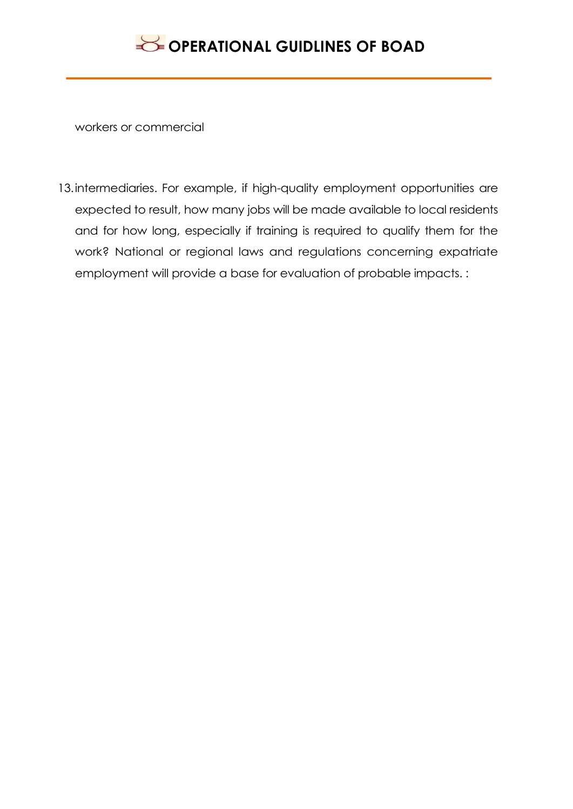

workers or commercial

13.intermediaries. For example, if high-quality employment opportunities are expected to result, how many jobs will be made available to local residents and for how long, especially if training is required to qualify them for the work? National or regional laws and regulations concerning expatriate employment will provide a base for evaluation of probable impacts. :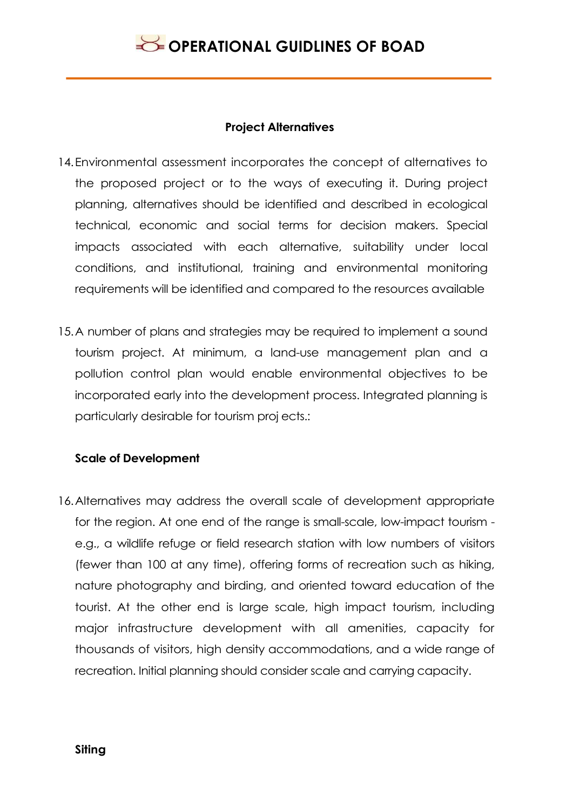### **Project Alternatives**

- 14.Environmental assessment incorporates the concept of alternatives to the proposed project or to the ways of executing it. During project planning, alternatives should be identified and described in ecological technical, economic and social terms for decision makers. Special impacts associated with each alternative, suitability under local conditions, and institutional, training and environmental monitoring requirements will be identified and compared to the resources available
- 15.A number of plans and strategies may be required to implement a sound tourism project. At minimum, a land-use management plan and a pollution control plan would enable environmental objectives to be incorporated early into the development process. Integrated planning is particularly desirable for tourism proj ects.:

### **Scale of Development**

16.Alternatives may address the overall scale of development appropriate for the region. At one end of the range is small-scale, low-impact tourism e.g., a wildlife refuge or field research station with low numbers of visitors (fewer than 100 at any time), offering forms of recreation such as hiking, nature photography and birding, and oriented toward education of the tourist. At the other end is large scale, high impact tourism, including major infrastructure development with all amenities, capacity for thousands of visitors, high density accommodations, and a wide range of recreation. Initial planning should consider scale and carrying capacity.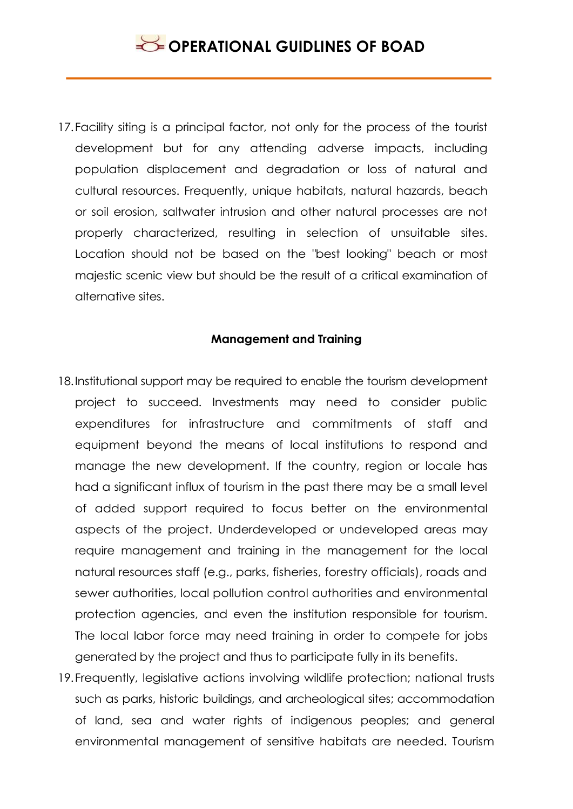17.Facility siting is a principal factor, not only for the process of the tourist development but for any attending adverse impacts, including population displacement and degradation or loss of natural and cultural resources. Frequently, unique habitats, natural hazards, beach or soil erosion, saltwater intrusion and other natural processes are not properly characterized, resulting in selection of unsuitable sites. Location should not be based on the "best looking" beach or most majestic scenic view but should be the result of a critical examination of alternative sites.

### **Management and Training**

- 18.Institutional support may be required to enable the tourism development project to succeed. Investments may need to consider public expenditures for infrastructure and commitments of staff and equipment beyond the means of local institutions to respond and manage the new development. If the country, region or locale has had a significant influx of tourism in the past there may be a small level of added support required to focus better on the environmental aspects of the project. Underdeveloped or undeveloped areas may require management and training in the management for the local natural resources staff (e.g., parks, fisheries, forestry officials), roads and sewer authorities, local pollution control authorities and environmental protection agencies, and even the institution responsible for tourism. The local labor force may need training in order to compete for jobs generated by the project and thus to participate fully in its benefits.
- 19.Frequently, legislative actions involving wildlife protection; national trusts such as parks, historic buildings, and archeological sites; accommodation of land, sea and water rights of indigenous peoples; and general environmental management of sensitive habitats are needed. Tourism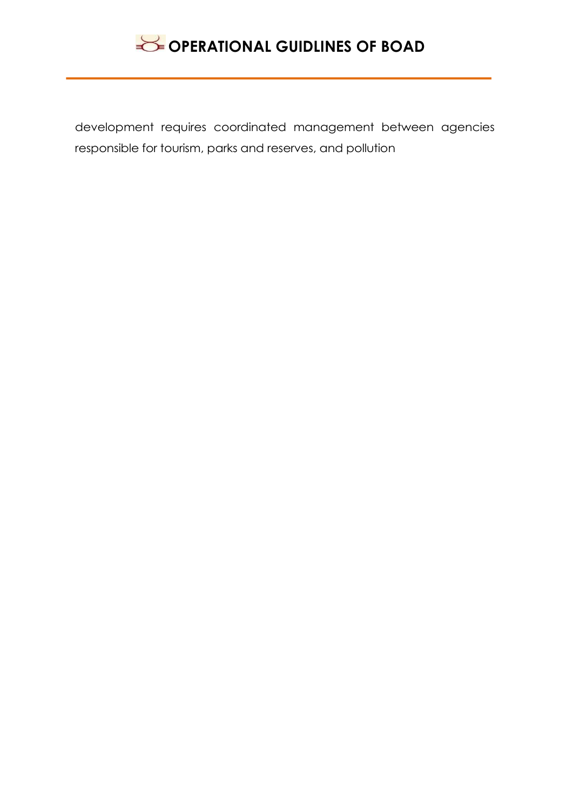

development requires coordinated management between agencies responsible for tourism, parks and reserves, and pollution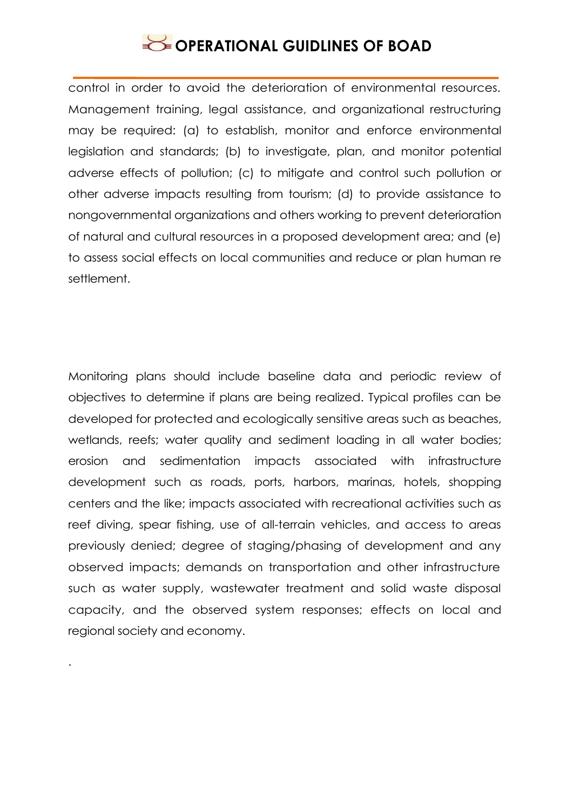control in order to avoid the deterioration of environmental resources. Management training, legal assistance, and organizational restructuring may be required: (a) to establish, monitor and enforce environmental legislation and standards; (b) to investigate, plan, and monitor potential adverse effects of pollution; (c) to mitigate and control such pollution or other adverse impacts resulting from tourism; (d) to provide assistance to nongovernmental organizations and others working to prevent deterioration of natural and cultural resources in a proposed development area; and (e) to assess social effects on local communities and reduce or plan human re settlement.

Monitoring plans should include baseline data and periodic review of objectives to determine if plans are being realized. Typical profiles can be developed for protected and ecologically sensitive areas such as beaches, wetlands, reefs; water quality and sediment loading in all water bodies; erosion and sedimentation impacts associated with infrastructure development such as roads, ports, harbors, marinas, hotels, shopping centers and the like; impacts associated with recreational activities such as reef diving, spear fishing, use of all-terrain vehicles, and access to areas previously denied; degree of staging/phasing of development and any observed impacts; demands on transportation and other infrastructure such as water supply, wastewater treatment and solid waste disposal capacity, and the observed system responses; effects on local and regional society and economy.

.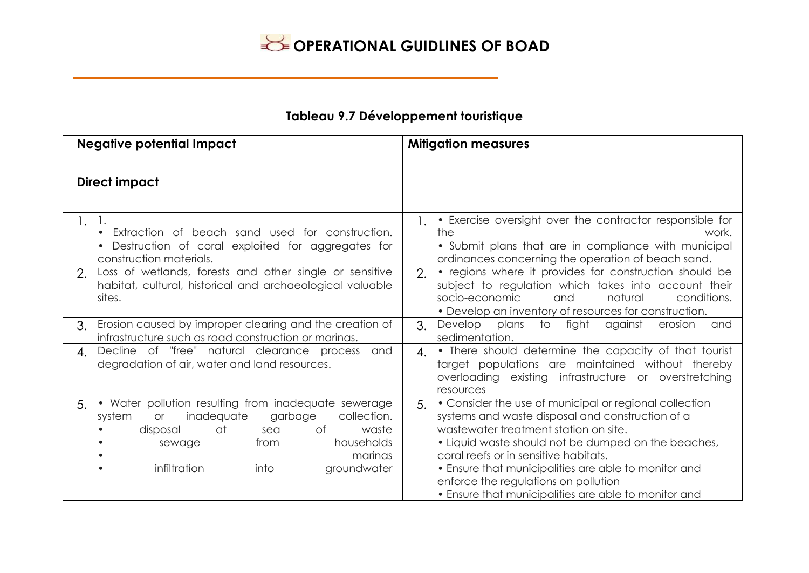### **Tableau 9.7 Développement touristique**

| <b>Negative potential Impact</b>                                                                                                                                                                                                                    | <b>Mitigation measures</b>                                                                                                                                                                                                                                                                                                                                                                                        |
|-----------------------------------------------------------------------------------------------------------------------------------------------------------------------------------------------------------------------------------------------------|-------------------------------------------------------------------------------------------------------------------------------------------------------------------------------------------------------------------------------------------------------------------------------------------------------------------------------------------------------------------------------------------------------------------|
| <b>Direct impact</b>                                                                                                                                                                                                                                |                                                                                                                                                                                                                                                                                                                                                                                                                   |
| 1.<br>Ι.<br>Extraction of beach sand used for construction.<br>Destruction of coral exploited for aggregates for<br>construction materials.                                                                                                         | • Exercise oversight over the contractor responsible for<br>1.<br>the<br>work.<br>• Submit plans that are in compliance with municipal<br>ordinances concerning the operation of beach sand.                                                                                                                                                                                                                      |
| Loss of wetlands, forests and other single or sensitive<br>2.<br>habitat, cultural, historical and archaeological valuable<br>sites.                                                                                                                | • regions where it provides for construction should be<br>$\overline{2}$ .<br>subject to regulation which takes into account their<br>socio-economic<br>natural<br>conditions.<br>and<br>• Develop an inventory of resources for construction.                                                                                                                                                                    |
| Erosion caused by improper clearing and the creation of<br>$\mathcal{S}_{\cdot}$<br>infrastructure such as road construction or marinas.                                                                                                            | to fight<br>$\mathcal{E}$ .<br>Develop<br>plans<br>against<br>erosion<br>and<br>sedimentation.                                                                                                                                                                                                                                                                                                                    |
| Decline of "free" natural clearance process<br>and<br>4.<br>degradation of air, water and land resources.                                                                                                                                           | • There should determine the capacity of that tourist<br>4.<br>target populations are maintained without thereby<br>overloading existing infrastructure or overstretching<br>resources                                                                                                                                                                                                                            |
| • Water pollution resulting from inadequate sewerage<br>5.<br>inadequate<br>collection.<br>garbage<br>system<br><b>or</b><br>at<br>waste<br>disposal<br>of<br>sea<br>households<br>from<br>sewage<br>marinas<br>infiltration<br>groundwater<br>into | • Consider the use of municipal or regional collection<br>5.<br>systems and waste disposal and construction of a<br>wastewater treatment station on site.<br>• Liquid waste should not be dumped on the beaches,<br>coral reefs or in sensitive habitats.<br>• Ensure that municipalities are able to monitor and<br>enforce the regulations on pollution<br>• Ensure that municipalities are able to monitor and |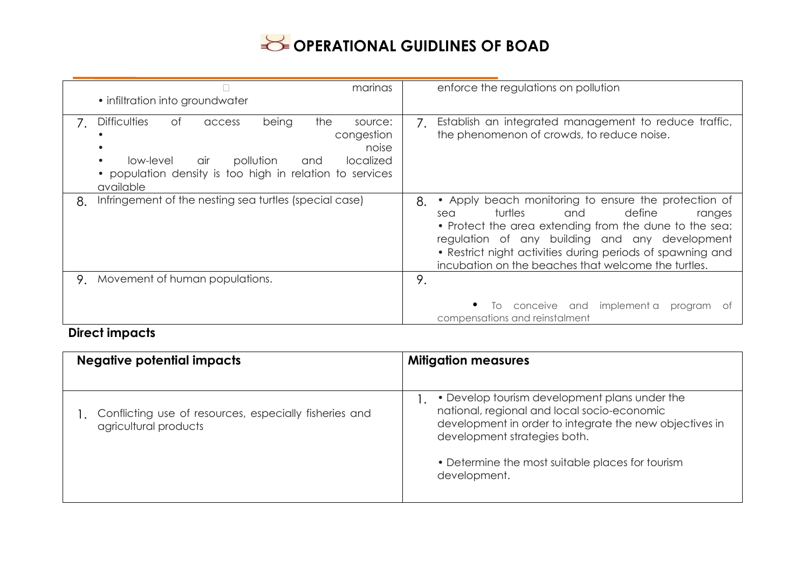| marinas                                                                                                                                                                                                    | enforce the regulations on pollution                                                                                                                                                                                                                                                                                                     |
|------------------------------------------------------------------------------------------------------------------------------------------------------------------------------------------------------------|------------------------------------------------------------------------------------------------------------------------------------------------------------------------------------------------------------------------------------------------------------------------------------------------------------------------------------------|
| • infiltration into groundwater                                                                                                                                                                            |                                                                                                                                                                                                                                                                                                                                          |
|                                                                                                                                                                                                            |                                                                                                                                                                                                                                                                                                                                          |
| the<br><b>Difficulties</b><br>of<br>being<br>access<br>source:<br>congestion<br>pollution<br>localized<br>low-level<br>air<br>and<br>• population density is too high in relation to services<br>available | Establish an integrated management to reduce traffic,<br>$7_{\scriptscriptstyle{\circ}}$<br>the phenomenon of crowds, to reduce noise.<br>noise                                                                                                                                                                                          |
| Infringement of the nesting sea turtles (special case)<br>8.                                                                                                                                               | 8.<br>• Apply beach monitoring to ensure the protection of<br>turtles<br>define<br>and<br>sea<br>ranges<br>• Protect the area extending from the dune to the sea:<br>regulation of any building and any development<br>• Restrict night activities during periods of spawning and<br>incubation on the beaches that welcome the turtles. |
| Movement of human populations.<br>9.                                                                                                                                                                       | 9.                                                                                                                                                                                                                                                                                                                                       |
|                                                                                                                                                                                                            | conceive and implement a<br>program<br>$\overline{O}$<br>compensations and reinstalment                                                                                                                                                                                                                                                  |

### **Direct impacts**

| <b>Negative potential impacts</b>                                               | <b>Mitigation measures</b>                                                                                                                                                                                                                                  |
|---------------------------------------------------------------------------------|-------------------------------------------------------------------------------------------------------------------------------------------------------------------------------------------------------------------------------------------------------------|
| Conflicting use of resources, especially fisheries and<br>agricultural products | • Develop tourism development plans under the<br>national, regional and local socio-economic<br>development in order to integrate the new objectives in<br>development strategies both.<br>• Determine the most suitable places for tourism<br>development. |